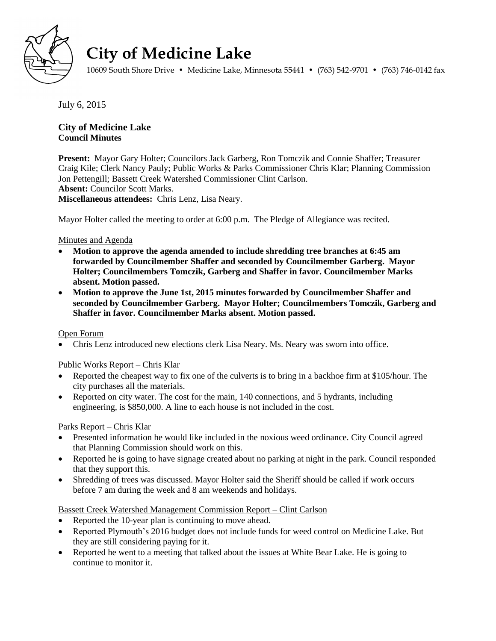

# **City of Medicine Lake**

10609 South Shore Drive • Medicine Lake, Minnesota 55441 • (763) 542-9701 • (763) 746-0142 fax

July 6, 2015

## **City of Medicine Lake Council Minutes**

**Present:** Mayor Gary Holter; Councilors Jack Garberg, Ron Tomczik and Connie Shaffer; Treasurer Craig Kile; Clerk Nancy Pauly; Public Works & Parks Commissioner Chris Klar; Planning Commission Jon Pettengill; Bassett Creek Watershed Commissioner Clint Carlson. **Absent:** Councilor Scott Marks. **Miscellaneous attendees:** Chris Lenz, Lisa Neary.

Mayor Holter called the meeting to order at 6:00 p.m. The Pledge of Allegiance was recited.

#### Minutes and Agenda

- **Motion to approve the agenda amended to include shredding tree branches at 6:45 am forwarded by Councilmember Shaffer and seconded by Councilmember Garberg. Mayor Holter; Councilmembers Tomczik, Garberg and Shaffer in favor. Councilmember Marks absent. Motion passed.**
- **Motion to approve the June 1st, 2015 minutes forwarded by Councilmember Shaffer and seconded by Councilmember Garberg. Mayor Holter; Councilmembers Tomczik, Garberg and Shaffer in favor. Councilmember Marks absent. Motion passed.**

#### Open Forum

Chris Lenz introduced new elections clerk Lisa Neary. Ms. Neary was sworn into office.

#### Public Works Report – Chris Klar

- Reported the cheapest way to fix one of the culverts is to bring in a backhoe firm at \$105/hour. The city purchases all the materials.
- Reported on city water. The cost for the main, 140 connections, and 5 hydrants, including engineering, is \$850,000. A line to each house is not included in the cost.

#### Parks Report – Chris Klar

- Presented information he would like included in the noxious weed ordinance. City Council agreed that Planning Commission should work on this.
- Reported he is going to have signage created about no parking at night in the park. Council responded that they support this.
- Shredding of trees was discussed. Mayor Holter said the Sheriff should be called if work occurs before 7 am during the week and 8 am weekends and holidays.

#### Bassett Creek Watershed Management Commission Report – Clint Carlson

- Reported the 10-year plan is continuing to move ahead.
- Reported Plymouth's 2016 budget does not include funds for weed control on Medicine Lake. But they are still considering paying for it.
- Reported he went to a meeting that talked about the issues at White Bear Lake. He is going to continue to monitor it.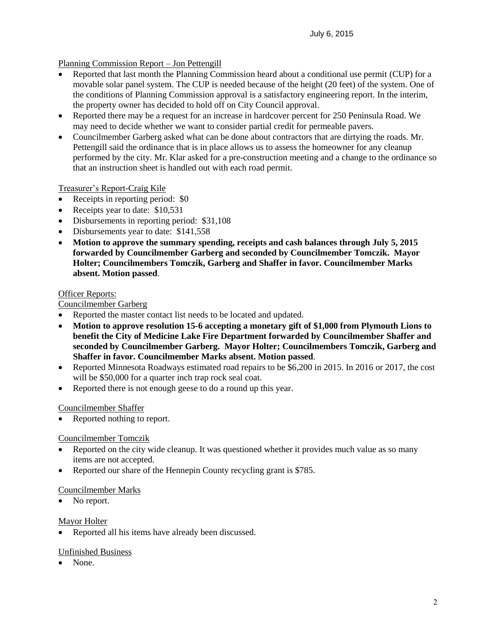### Planning Commission Report – Jon Pettengill

- Reported that last month the Planning Commission heard about a conditional use permit (CUP) for a movable solar panel system. The CUP is needed because of the height (20 feet) of the system. One of the conditions of Planning Commission approval is a satisfactory engineering report. In the interim, the property owner has decided to hold off on City Council approval.
- Reported there may be a request for an increase in hardcover percent for 250 Peninsula Road. We may need to decide whether we want to consider partial credit for permeable pavers.
- Councilmember Garberg asked what can be done about contractors that are dirtying the roads. Mr. Pettengill said the ordinance that is in place allows us to assess the homeowner for any cleanup performed by the city. Mr. Klar asked for a pre-construction meeting and a change to the ordinance so that an instruction sheet is handled out with each road permit.

#### Treasurer's Report-Craig Kile

- Receipts in reporting period: \$0
- Receipts year to date: \$10,531
- Disbursements in reporting period: \$31,108
- Disbursements year to date: \$141,558
- **Motion to approve the summary spending, receipts and cash balances through July 5, 2015 forwarded by Councilmember Garberg and seconded by Councilmember Tomczik. Mayor Holter; Councilmembers Tomczik, Garberg and Shaffer in favor. Councilmember Marks absent. Motion passed**.

#### Officer Reports:

Councilmember Garberg

- Reported the master contact list needs to be located and updated.
- **Motion to approve resolution 15-6 accepting a monetary gift of \$1,000 from Plymouth Lions to benefit the City of Medicine Lake Fire Department forwarded by Councilmember Shaffer and seconded by Councilmember Garberg. Mayor Holter; Councilmembers Tomczik, Garberg and Shaffer in favor. Councilmember Marks absent. Motion passed**.
- Reported Minnesota Roadways estimated road repairs to be \$6,200 in 2015. In 2016 or 2017, the cost will be \$50,000 for a quarter inch trap rock seal coat.
- Reported there is not enough geese to do a round up this year.

#### Councilmember Shaffer

• Reported nothing to report.

#### Councilmember Tomczik

- Reported on the city wide cleanup. It was questioned whether it provides much value as so many items are not accepted.
- Reported our share of the Hennepin County recycling grant is \$785.

#### Councilmember Marks

• No report.

#### Mayor Holter

Reported all his items have already been discussed.

#### Unfinished Business

None.